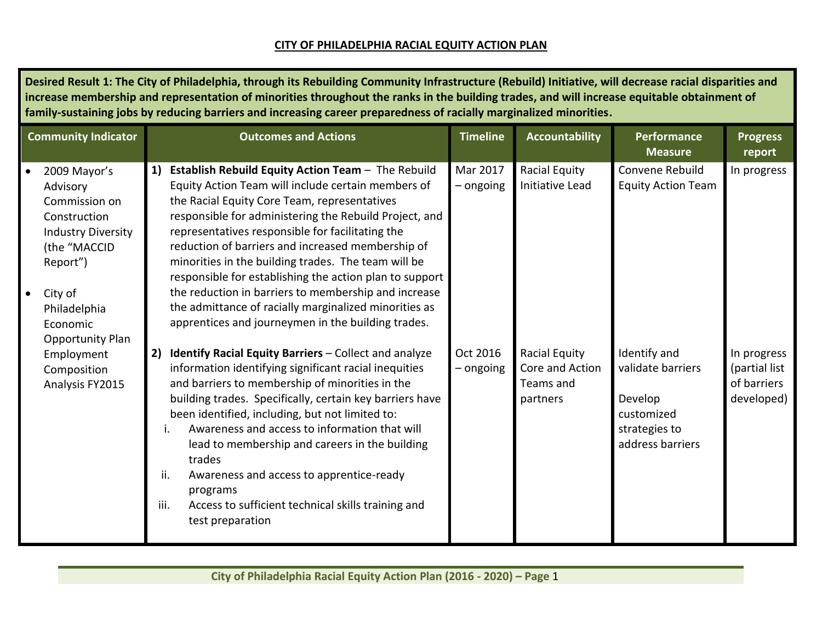## **CITY OF PHILADELPHIA RACIAL EQUITY ACTION PLAN**

| <b>Community Indicator</b>                                                                                                                                                                                     | <b>Outcomes and Actions</b>                                                                                                                                                                                                                                                                                                                                                                                                                                                                                                                                                                                                | <b>Timeline</b>       | <b>Accountability</b>                                     | Performance<br><b>Measure</b>                                                                   | <b>Progress</b><br>report                                 |
|----------------------------------------------------------------------------------------------------------------------------------------------------------------------------------------------------------------|----------------------------------------------------------------------------------------------------------------------------------------------------------------------------------------------------------------------------------------------------------------------------------------------------------------------------------------------------------------------------------------------------------------------------------------------------------------------------------------------------------------------------------------------------------------------------------------------------------------------------|-----------------------|-----------------------------------------------------------|-------------------------------------------------------------------------------------------------|-----------------------------------------------------------|
| 2009 Mayor's<br>$\bullet$<br>Advisory<br>Commission on<br>Construction<br><b>Industry Diversity</b><br>(the "MACCID<br>Report")<br>City of<br>$\bullet$<br>Philadelphia<br>Economic<br><b>Opportunity Plan</b> | 1)<br>Establish Rebuild Equity Action Team - The Rebuild<br>Equity Action Team will include certain members of<br>the Racial Equity Core Team, representatives<br>responsible for administering the Rebuild Project, and<br>representatives responsible for facilitating the<br>reduction of barriers and increased membership of<br>minorities in the building trades. The team will be<br>responsible for establishing the action plan to support<br>the reduction in barriers to membership and increase<br>the admittance of racially marginalized minorities as<br>apprentices and journeymen in the building trades. | Mar 2017<br>- ongoing | Racial Equity<br>Initiative Lead                          | Convene Rebuild<br><b>Equity Action Team</b>                                                    | In progress                                               |
| Employment<br>Composition<br>Analysis FY2015                                                                                                                                                                   | Identify Racial Equity Barriers - Collect and analyze<br>2)<br>information identifying significant racial inequities<br>and barriers to membership of minorities in the<br>building trades. Specifically, certain key barriers have<br>been identified, including, but not limited to:<br>Awareness and access to information that will<br>İ.<br>lead to membership and careers in the building<br>trades<br>ii.<br>Awareness and access to apprentice-ready<br>programs<br>iii.<br>Access to sufficient technical skills training and<br>test preparation                                                                 | Oct 2016<br>– ongoing | Racial Equity<br>Core and Action<br>Teams and<br>partners | Identify and<br>validate barriers<br>Develop<br>customized<br>strategies to<br>address barriers | In progress<br>(partial list<br>of barriers<br>developed) |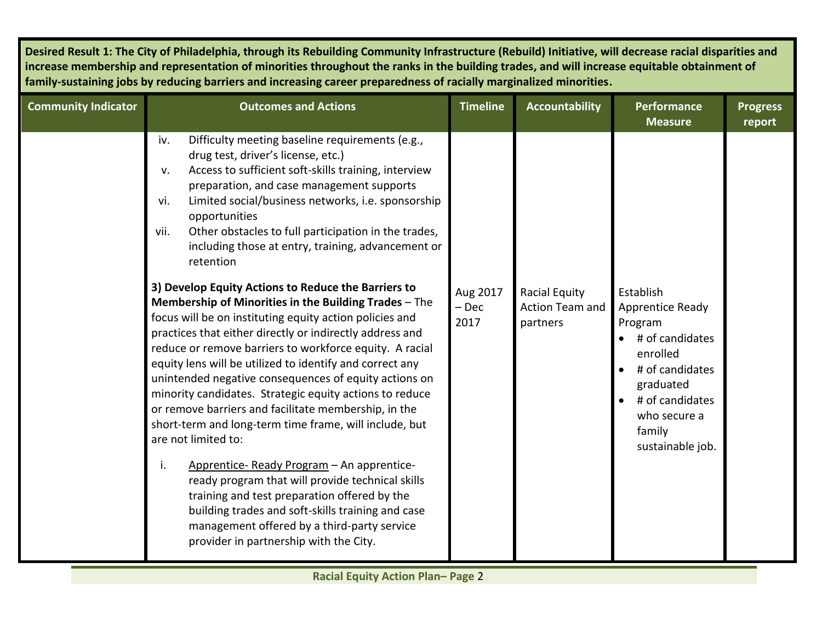| <b>Community Indicator</b> | <b>Outcomes and Actions</b>                                                                                                                                                                                                                                                                                                                                                                                                                                                                                                                                                                                                                                                                                                                                                                                                                                                                                                                                                                                                                                                                                                                                                                                                                                                                                                                              | <b>Timeline</b>             | <b>Accountability</b>                                      | Performance<br><b>Measure</b>                                                                                                                                                                                          | <b>Progress</b><br>report |
|----------------------------|----------------------------------------------------------------------------------------------------------------------------------------------------------------------------------------------------------------------------------------------------------------------------------------------------------------------------------------------------------------------------------------------------------------------------------------------------------------------------------------------------------------------------------------------------------------------------------------------------------------------------------------------------------------------------------------------------------------------------------------------------------------------------------------------------------------------------------------------------------------------------------------------------------------------------------------------------------------------------------------------------------------------------------------------------------------------------------------------------------------------------------------------------------------------------------------------------------------------------------------------------------------------------------------------------------------------------------------------------------|-----------------------------|------------------------------------------------------------|------------------------------------------------------------------------------------------------------------------------------------------------------------------------------------------------------------------------|---------------------------|
|                            | Difficulty meeting baseline requirements (e.g.,<br>iv.<br>drug test, driver's license, etc.)<br>Access to sufficient soft-skills training, interview<br>v.<br>preparation, and case management supports<br>Limited social/business networks, i.e. sponsorship<br>vi.<br>opportunities<br>Other obstacles to full participation in the trades,<br>vii.<br>including those at entry, training, advancement or<br>retention<br>3) Develop Equity Actions to Reduce the Barriers to<br>Membership of Minorities in the Building Trades - The<br>focus will be on instituting equity action policies and<br>practices that either directly or indirectly address and<br>reduce or remove barriers to workforce equity. A racial<br>equity lens will be utilized to identify and correct any<br>unintended negative consequences of equity actions on<br>minority candidates. Strategic equity actions to reduce<br>or remove barriers and facilitate membership, in the<br>short-term and long-term time frame, will include, but<br>are not limited to:<br>Apprentice-Ready Program - An apprentice-<br>i.<br>ready program that will provide technical skills<br>training and test preparation offered by the<br>building trades and soft-skills training and case<br>management offered by a third-party service<br>provider in partnership with the City. | Aug 2017<br>$-$ Dec<br>2017 | <b>Racial Equity</b><br><b>Action Team and</b><br>partners | Establish<br><b>Apprentice Ready</b><br>Program<br># of candidates<br>$\bullet$<br>enrolled<br># of candidates<br>$\bullet$<br>graduated<br># of candidates<br>$\bullet$<br>who secure a<br>family<br>sustainable job. |                           |
|                            |                                                                                                                                                                                                                                                                                                                                                                                                                                                                                                                                                                                                                                                                                                                                                                                                                                                                                                                                                                                                                                                                                                                                                                                                                                                                                                                                                          |                             |                                                            |                                                                                                                                                                                                                        |                           |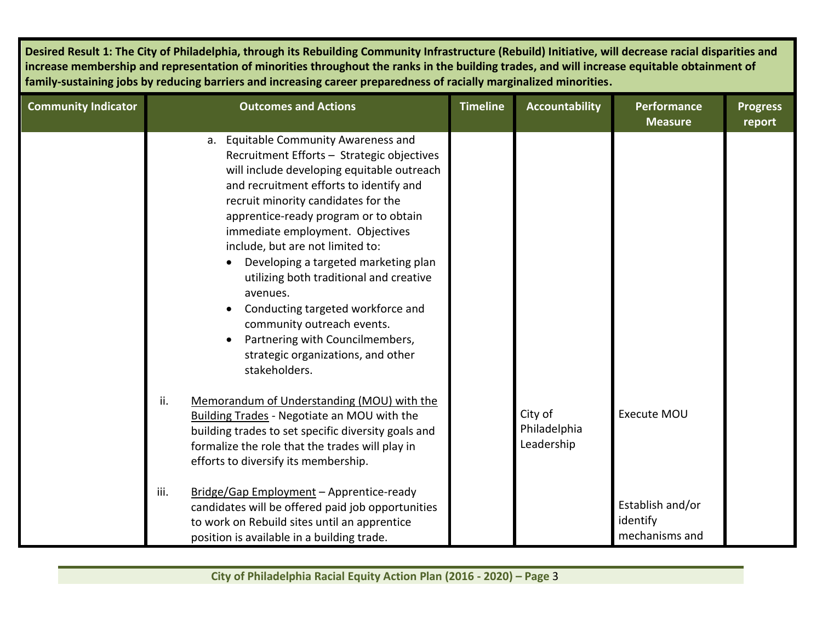| <b>Community Indicator</b> | <b>Outcomes and Actions</b>                                                                                                                                                                                                                                                                                                                                                                                                                                                                                                                                                                                  | <b>Timeline</b> | <b>Accountability</b>                 | <b>Performance</b><br><b>Measure</b>           | <b>Progress</b><br>report |
|----------------------------|--------------------------------------------------------------------------------------------------------------------------------------------------------------------------------------------------------------------------------------------------------------------------------------------------------------------------------------------------------------------------------------------------------------------------------------------------------------------------------------------------------------------------------------------------------------------------------------------------------------|-----------------|---------------------------------------|------------------------------------------------|---------------------------|
|                            | a. Equitable Community Awareness and<br>Recruitment Efforts - Strategic objectives<br>will include developing equitable outreach<br>and recruitment efforts to identify and<br>recruit minority candidates for the<br>apprentice-ready program or to obtain<br>immediate employment. Objectives<br>include, but are not limited to:<br>Developing a targeted marketing plan<br>utilizing both traditional and creative<br>avenues.<br>Conducting targeted workforce and<br>$\bullet$<br>community outreach events.<br>Partnering with Councilmembers,<br>strategic organizations, and other<br>stakeholders. |                 |                                       |                                                |                           |
|                            | ii.<br>Memorandum of Understanding (MOU) with the<br><b>Building Trades - Negotiate an MOU with the</b><br>building trades to set specific diversity goals and<br>formalize the role that the trades will play in<br>efforts to diversify its membership.                                                                                                                                                                                                                                                                                                                                                    |                 | City of<br>Philadelphia<br>Leadership | Execute MOU                                    |                           |
|                            | iii.<br>Bridge/Gap Employment - Apprentice-ready<br>candidates will be offered paid job opportunities<br>to work on Rebuild sites until an apprentice<br>position is available in a building trade.                                                                                                                                                                                                                                                                                                                                                                                                          |                 |                                       | Establish and/or<br>identify<br>mechanisms and |                           |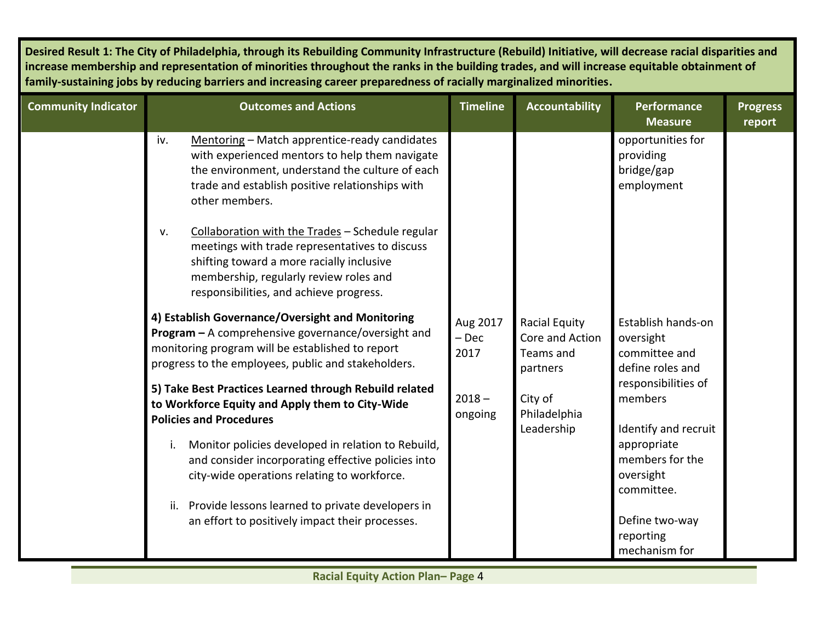| <b>Community Indicator</b> | <b>Outcomes and Actions</b>                                                                                                                                                                                                                | <b>Timeline</b>             | <b>Accountability</b>                                     | <b>Performance</b><br><b>Measure</b>                                 | <b>Progress</b><br>report |
|----------------------------|--------------------------------------------------------------------------------------------------------------------------------------------------------------------------------------------------------------------------------------------|-----------------------------|-----------------------------------------------------------|----------------------------------------------------------------------|---------------------------|
|                            | Mentoring - Match apprentice-ready candidates<br>iv.<br>with experienced mentors to help them navigate<br>the environment, understand the culture of each<br>trade and establish positive relationships with<br>other members.             |                             |                                                           | opportunities for<br>providing<br>bridge/gap<br>employment           |                           |
|                            | Collaboration with the Trades - Schedule regular<br>V.<br>meetings with trade representatives to discuss<br>shifting toward a more racially inclusive<br>membership, regularly review roles and<br>responsibilities, and achieve progress. |                             |                                                           |                                                                      |                           |
|                            | 4) Establish Governance/Oversight and Monitoring<br>Program - A comprehensive governance/oversight and<br>monitoring program will be established to report<br>progress to the employees, public and stakeholders.                          | Aug 2017<br>$-$ Dec<br>2017 | Racial Equity<br>Core and Action<br>Teams and<br>partners | Establish hands-on<br>oversight<br>committee and<br>define roles and |                           |
|                            | 5) Take Best Practices Learned through Rebuild related<br>to Workforce Equity and Apply them to City-Wide<br><b>Policies and Procedures</b>                                                                                                | $2018 -$<br>ongoing         | City of<br>Philadelphia<br>Leadership                     | responsibilities of<br>members<br>Identify and recruit               |                           |
|                            | Monitor policies developed in relation to Rebuild,<br>i.<br>and consider incorporating effective policies into<br>city-wide operations relating to workforce.                                                                              |                             |                                                           | appropriate<br>members for the<br>oversight<br>committee.            |                           |
|                            | Provide lessons learned to private developers in<br>ii.<br>an effort to positively impact their processes.                                                                                                                                 |                             |                                                           | Define two-way<br>reporting<br>mechanism for                         |                           |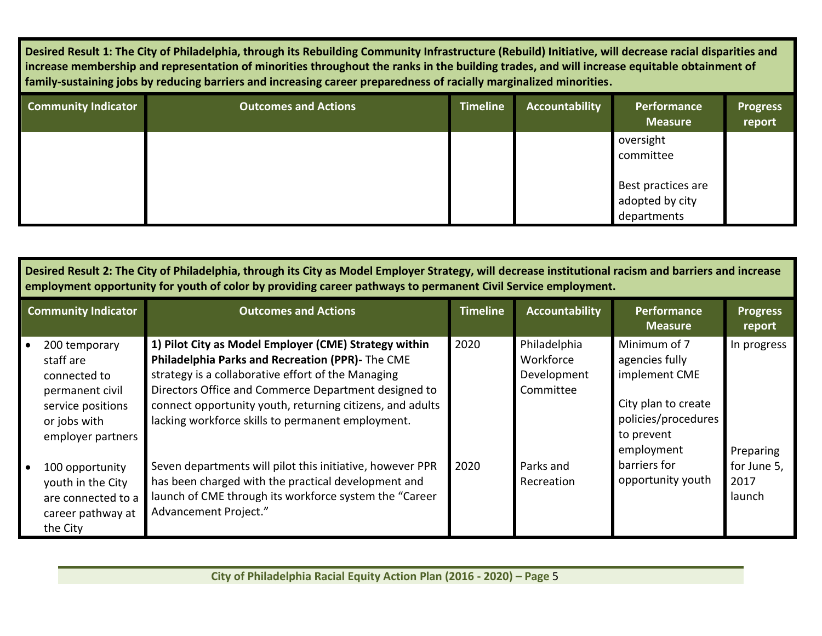| <b>Community Indicator</b> | <b>Outcomes and Actions</b> | <b>Timeline</b> | Accountability | Performance<br><b>Measure</b>                        | <b>Progress</b><br>report |
|----------------------------|-----------------------------|-----------------|----------------|------------------------------------------------------|---------------------------|
|                            |                             |                 |                | oversight<br>committee                               |                           |
|                            |                             |                 |                | Best practices are<br>adopted by city<br>departments |                           |

| Desired Result 2: The City of Philadelphia, through its City as Model Employer Strategy, will decrease institutional racism and barriers and increase<br>employment opportunity for youth of color by providing career pathways to permanent Civil Service employment. |                                                                                                                                                                                                                                                                                                                                           |                 |                                                       |                                                                                                                           |                               |  |  |  |
|------------------------------------------------------------------------------------------------------------------------------------------------------------------------------------------------------------------------------------------------------------------------|-------------------------------------------------------------------------------------------------------------------------------------------------------------------------------------------------------------------------------------------------------------------------------------------------------------------------------------------|-----------------|-------------------------------------------------------|---------------------------------------------------------------------------------------------------------------------------|-------------------------------|--|--|--|
| <b>Community Indicator</b>                                                                                                                                                                                                                                             | <b>Outcomes and Actions</b>                                                                                                                                                                                                                                                                                                               | <b>Timeline</b> | <b>Accountability</b>                                 | <b>Performance</b><br><b>Measure</b>                                                                                      | <b>Progress</b><br>report     |  |  |  |
| 200 temporary<br>staff are<br>connected to<br>permanent civil<br>service positions<br>or jobs with<br>employer partners                                                                                                                                                | 1) Pilot City as Model Employer (CME) Strategy within<br>Philadelphia Parks and Recreation (PPR)- The CME<br>strategy is a collaborative effort of the Managing<br>Directors Office and Commerce Department designed to<br>connect opportunity youth, returning citizens, and adults<br>lacking workforce skills to permanent employment. | 2020            | Philadelphia<br>Workforce<br>Development<br>Committee | Minimum of 7<br>agencies fully<br>implement CME<br>City plan to create<br>policies/procedures<br>to prevent<br>employment | In progress<br>Preparing      |  |  |  |
| 100 opportunity<br>youth in the City<br>are connected to a<br>career pathway at<br>the City                                                                                                                                                                            | Seven departments will pilot this initiative, however PPR<br>has been charged with the practical development and<br>launch of CME through its workforce system the "Career"<br>Advancement Project."                                                                                                                                      | 2020            | Parks and<br>Recreation                               | barriers for<br>opportunity youth                                                                                         | for June 5,<br>2017<br>launch |  |  |  |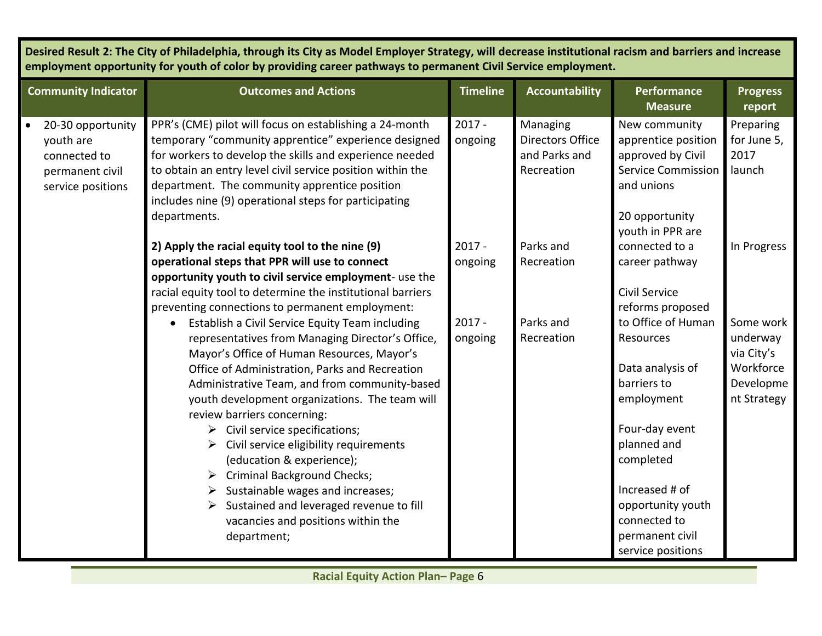**Desired Result 2: The City of Philadelphia, through its City as Model Employer Strategy, will decrease institutional racism and barriers and increase employment opportunity for youth of color by providing career pathways to permanent Civil Service employment.** 

| <b>Community Indicator</b>                                                             | <b>Outcomes and Actions</b>                                                                                                                                                                                                                                                                                                                                                                                                                                                                                                                                                                                                               | <b>Timeline</b>     | <b>Accountability</b>                                              | <b>Performance</b><br><b>Measure</b>                                                                                                                                                                                          | <b>Progress</b><br>report                                                    |
|----------------------------------------------------------------------------------------|-------------------------------------------------------------------------------------------------------------------------------------------------------------------------------------------------------------------------------------------------------------------------------------------------------------------------------------------------------------------------------------------------------------------------------------------------------------------------------------------------------------------------------------------------------------------------------------------------------------------------------------------|---------------------|--------------------------------------------------------------------|-------------------------------------------------------------------------------------------------------------------------------------------------------------------------------------------------------------------------------|------------------------------------------------------------------------------|
| 20-30 opportunity<br>youth are<br>connected to<br>permanent civil<br>service positions | PPR's (CME) pilot will focus on establishing a 24-month<br>temporary "community apprentice" experience designed<br>for workers to develop the skills and experience needed<br>to obtain an entry level civil service position within the<br>department. The community apprentice position<br>includes nine (9) operational steps for participating<br>departments.                                                                                                                                                                                                                                                                        | $2017 -$<br>ongoing | Managing<br><b>Directors Office</b><br>and Parks and<br>Recreation | New community<br>apprentice position<br>approved by Civil<br><b>Service Commission</b><br>and unions<br>20 opportunity<br>youth in PPR are                                                                                    | Preparing<br>for June 5,<br>2017<br>launch                                   |
|                                                                                        | 2) Apply the racial equity tool to the nine (9)<br>operational steps that PPR will use to connect<br>opportunity youth to civil service employment- use the<br>racial equity tool to determine the institutional barriers<br>preventing connections to permanent employment:                                                                                                                                                                                                                                                                                                                                                              | $2017 -$<br>ongoing | Parks and<br>Recreation                                            | connected to a<br>career pathway<br><b>Civil Service</b><br>reforms proposed                                                                                                                                                  | In Progress                                                                  |
|                                                                                        | Establish a Civil Service Equity Team including<br>$\bullet$<br>representatives from Managing Director's Office,<br>Mayor's Office of Human Resources, Mayor's<br>Office of Administration, Parks and Recreation<br>Administrative Team, and from community-based<br>youth development organizations. The team will<br>review barriers concerning:<br>Civil service specifications;<br>➤<br>Civil service eligibility requirements<br>(education & experience);<br><b>Criminal Background Checks;</b><br>Sustainable wages and increases;<br>Sustained and leveraged revenue to fill<br>vacancies and positions within the<br>department; | $2017 -$<br>ongoing | Parks and<br>Recreation                                            | to Office of Human<br>Resources<br>Data analysis of<br>barriers to<br>employment<br>Four-day event<br>planned and<br>completed<br>Increased # of<br>opportunity youth<br>connected to<br>permanent civil<br>service positions | Some work<br>underway<br>via City's<br>Workforce<br>Developme<br>nt Strategy |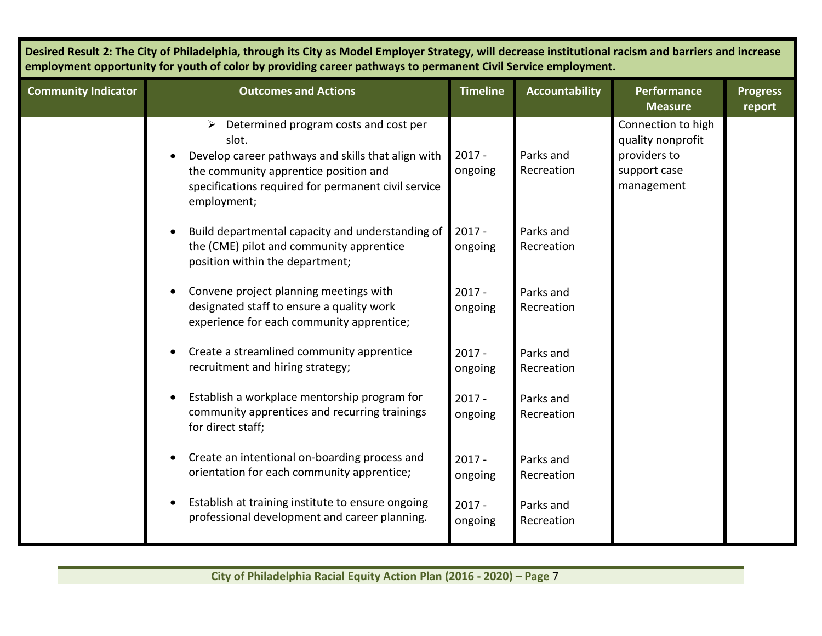| Desired Result 2: The City of Philadelphia, through its City as Model Employer Strategy, will decrease institutional racism and barriers and increase<br>employment opportunity for youth of color by providing career pathways to permanent Civil Service employment. |                                                                                                                                                                                                                                      |                     |                         |                                                                                       |                           |  |
|------------------------------------------------------------------------------------------------------------------------------------------------------------------------------------------------------------------------------------------------------------------------|--------------------------------------------------------------------------------------------------------------------------------------------------------------------------------------------------------------------------------------|---------------------|-------------------------|---------------------------------------------------------------------------------------|---------------------------|--|
| <b>Community Indicator</b>                                                                                                                                                                                                                                             | <b>Outcomes and Actions</b>                                                                                                                                                                                                          | <b>Timeline</b>     | <b>Accountability</b>   | <b>Performance</b><br><b>Measure</b>                                                  | <b>Progress</b><br>report |  |
|                                                                                                                                                                                                                                                                        | $\triangleright$ Determined program costs and cost per<br>slot.<br>Develop career pathways and skills that align with<br>the community apprentice position and<br>specifications required for permanent civil service<br>employment; | $2017 -$<br>ongoing | Parks and<br>Recreation | Connection to high<br>quality nonprofit<br>providers to<br>support case<br>management |                           |  |
|                                                                                                                                                                                                                                                                        | Build departmental capacity and understanding of<br>the (CME) pilot and community apprentice<br>position within the department;                                                                                                      | $2017 -$<br>ongoing | Parks and<br>Recreation |                                                                                       |                           |  |
|                                                                                                                                                                                                                                                                        | Convene project planning meetings with<br>designated staff to ensure a quality work<br>experience for each community apprentice;                                                                                                     | $2017 -$<br>ongoing | Parks and<br>Recreation |                                                                                       |                           |  |
|                                                                                                                                                                                                                                                                        | Create a streamlined community apprentice<br>recruitment and hiring strategy;                                                                                                                                                        | $2017 -$<br>ongoing | Parks and<br>Recreation |                                                                                       |                           |  |
|                                                                                                                                                                                                                                                                        | Establish a workplace mentorship program for<br>community apprentices and recurring trainings<br>for direct staff;                                                                                                                   | $2017 -$<br>ongoing | Parks and<br>Recreation |                                                                                       |                           |  |
|                                                                                                                                                                                                                                                                        | Create an intentional on-boarding process and<br>orientation for each community apprentice;                                                                                                                                          | $2017 -$<br>ongoing | Parks and<br>Recreation |                                                                                       |                           |  |
|                                                                                                                                                                                                                                                                        | Establish at training institute to ensure ongoing<br>$\bullet$<br>professional development and career planning.                                                                                                                      | $2017 -$<br>ongoing | Parks and<br>Recreation |                                                                                       |                           |  |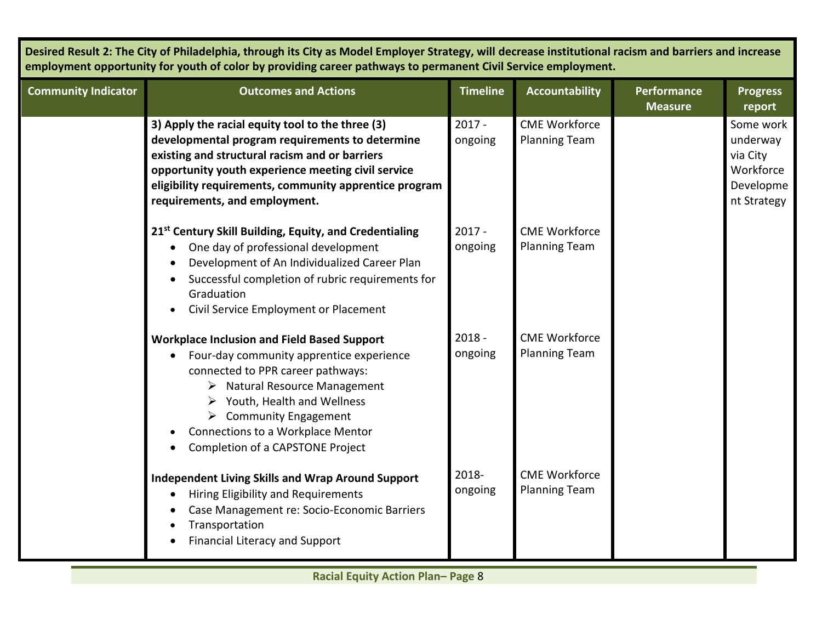**Desired Result 2: The City of Philadelphia, through its City as Model Employer Strategy, will decrease institutional racism and barriers and increase employment opportunity for youth of color by providing career pathways to permanent Civil Service employment.** 

| <b>Community Indicator</b> | <b>Outcomes and Actions</b>                                                                                                                                                                                                                                                                                                                      | <b>Timeline</b>     | <b>Accountability</b>                        | <b>Performance</b><br><b>Measure</b> | <b>Progress</b><br>report                                                  |
|----------------------------|--------------------------------------------------------------------------------------------------------------------------------------------------------------------------------------------------------------------------------------------------------------------------------------------------------------------------------------------------|---------------------|----------------------------------------------|--------------------------------------|----------------------------------------------------------------------------|
|                            | 3) Apply the racial equity tool to the three (3)<br>developmental program requirements to determine<br>existing and structural racism and or barriers<br>opportunity youth experience meeting civil service<br>eligibility requirements, community apprentice program<br>requirements, and employment.                                           | $2017 -$<br>ongoing | <b>CME Workforce</b><br><b>Planning Team</b> |                                      | Some work<br>underway<br>via City<br>Workforce<br>Developme<br>nt Strategy |
|                            | 21 <sup>st</sup> Century Skill Building, Equity, and Credentialing<br>One day of professional development<br>$\bullet$<br>Development of An Individualized Career Plan<br>Successful completion of rubric requirements for<br>Graduation<br>Civil Service Employment or Placement<br>$\bullet$                                                   | $2017 -$<br>ongoing | <b>CME Workforce</b><br><b>Planning Team</b> |                                      |                                                                            |
|                            | <b>Workplace Inclusion and Field Based Support</b><br>Four-day community apprentice experience<br>$\bullet$<br>connected to PPR career pathways:<br>$\triangleright$ Natural Resource Management<br>Youth, Health and Wellness<br>➤<br><b>Community Engagement</b><br>➤<br>Connections to a Workplace Mentor<br>Completion of a CAPSTONE Project | $2018 -$<br>ongoing | <b>CME Workforce</b><br><b>Planning Team</b> |                                      |                                                                            |
|                            | <b>Independent Living Skills and Wrap Around Support</b><br>Hiring Eligibility and Requirements<br>Case Management re: Socio-Economic Barriers<br>Transportation<br><b>Financial Literacy and Support</b>                                                                                                                                        | 2018-<br>ongoing    | <b>CME Workforce</b><br><b>Planning Team</b> |                                      |                                                                            |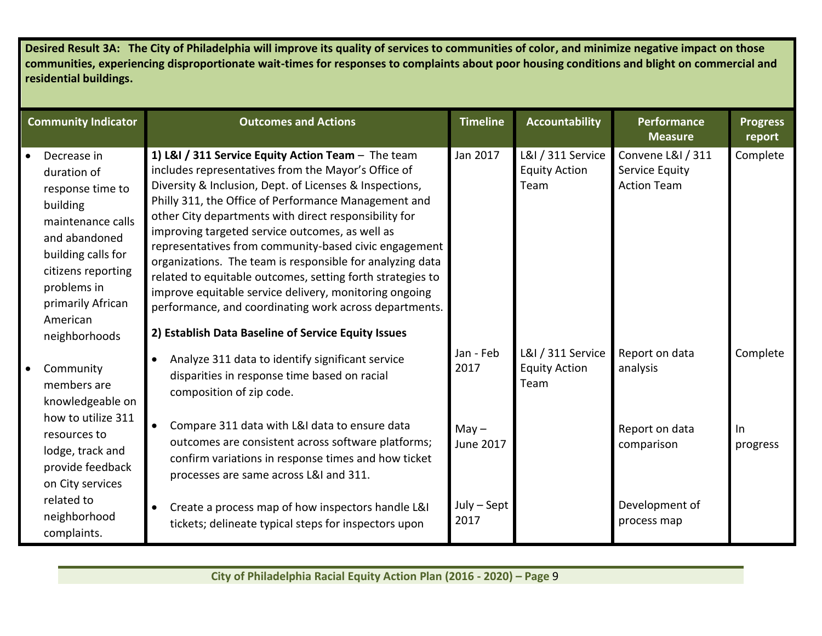**Desired Result 3A: The City of Philadelphia will improve its quality of services to communities of color, and minimize negative impact on those communities, experiencing disproportionate wait-times for responses to complaints about poor housing conditions and blight on commercial and residential buildings.** 

| <b>Community Indicator</b>                                                                                                                                                                                                 | <b>Outcomes and Actions</b>                                                                                                                                                                                                                                                                                                                                                                                                                                                                                                                                                                                                                                                                             | <b>Timeline</b>             | <b>Accountability</b>                             | <b>Performance</b><br><b>Measure</b>                      | <b>Progress</b><br>report |
|----------------------------------------------------------------------------------------------------------------------------------------------------------------------------------------------------------------------------|---------------------------------------------------------------------------------------------------------------------------------------------------------------------------------------------------------------------------------------------------------------------------------------------------------------------------------------------------------------------------------------------------------------------------------------------------------------------------------------------------------------------------------------------------------------------------------------------------------------------------------------------------------------------------------------------------------|-----------------------------|---------------------------------------------------|-----------------------------------------------------------|---------------------------|
| Decrease in<br>$\bullet$<br>duration of<br>response time to<br>building<br>maintenance calls<br>and abandoned<br>building calls for<br>citizens reporting<br>problems in<br>primarily African<br>American<br>neighborhoods | 1) L&I / 311 Service Equity Action Team - The team<br>includes representatives from the Mayor's Office of<br>Diversity & Inclusion, Dept. of Licenses & Inspections,<br>Philly 311, the Office of Performance Management and<br>other City departments with direct responsibility for<br>improving targeted service outcomes, as well as<br>representatives from community-based civic engagement<br>organizations. The team is responsible for analyzing data<br>related to equitable outcomes, setting forth strategies to<br>improve equitable service delivery, monitoring ongoing<br>performance, and coordinating work across departments.<br>2) Establish Data Baseline of Service Equity Issues | Jan 2017                    | L&I / 311 Service<br><b>Equity Action</b><br>Team | Convene L&I / 311<br>Service Equity<br><b>Action Team</b> | Complete                  |
| Community<br>members are<br>knowledgeable on<br>how to utilize 311                                                                                                                                                         | Analyze 311 data to identify significant service<br>disparities in response time based on racial<br>composition of zip code.                                                                                                                                                                                                                                                                                                                                                                                                                                                                                                                                                                            | Jan - Feb<br>2017           | L&I / 311 Service<br><b>Equity Action</b><br>Team | Report on data<br>analysis                                | Complete                  |
| resources to<br>lodge, track and<br>provide feedback<br>on City services                                                                                                                                                   | Compare 311 data with L&I data to ensure data<br>outcomes are consistent across software platforms;<br>confirm variations in response times and how ticket<br>processes are same across L&I and 311.                                                                                                                                                                                                                                                                                                                                                                                                                                                                                                    | $May -$<br><b>June 2017</b> |                                                   | Report on data<br>comparison                              | $\ln$<br>progress         |
| related to<br>neighborhood<br>complaints.                                                                                                                                                                                  | Create a process map of how inspectors handle L&I<br>$\bullet$<br>tickets; delineate typical steps for inspectors upon                                                                                                                                                                                                                                                                                                                                                                                                                                                                                                                                                                                  | $July - Sept$<br>2017       |                                                   | Development of<br>process map                             |                           |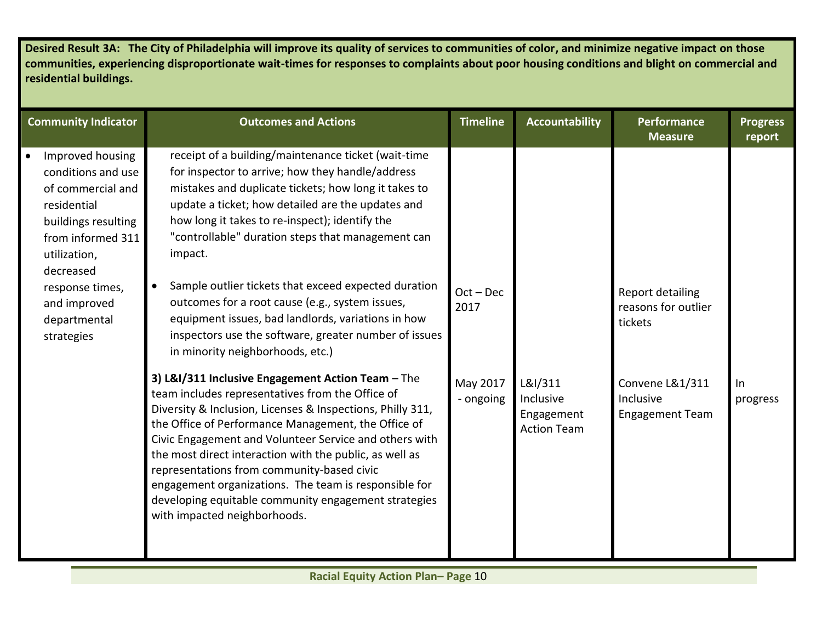**Desired Result 3A: The City of Philadelphia will improve its quality of services to communities of color, and minimize negative impact on those communities, experiencing disproportionate wait-times for responses to complaints about poor housing conditions and blight on commercial and residential buildings.** 

| <b>Community Indicator</b>                                                                                                                                                                                           | <b>Outcomes and Actions</b>                                                                                                                                                                                                                                                                                                                                                                                                                                                                                                                                                                                       | <b>Timeline</b>       | <b>Accountability</b>                                    | <b>Performance</b><br><b>Measure</b>                   | <b>Progress</b><br>report |
|----------------------------------------------------------------------------------------------------------------------------------------------------------------------------------------------------------------------|-------------------------------------------------------------------------------------------------------------------------------------------------------------------------------------------------------------------------------------------------------------------------------------------------------------------------------------------------------------------------------------------------------------------------------------------------------------------------------------------------------------------------------------------------------------------------------------------------------------------|-----------------------|----------------------------------------------------------|--------------------------------------------------------|---------------------------|
| Improved housing<br>conditions and use<br>of commercial and<br>residential<br>buildings resulting<br>from informed 311<br>utilization,<br>decreased<br>response times,<br>and improved<br>departmental<br>strategies | receipt of a building/maintenance ticket (wait-time<br>for inspector to arrive; how they handle/address<br>mistakes and duplicate tickets; how long it takes to<br>update a ticket; how detailed are the updates and<br>how long it takes to re-inspect); identify the<br>"controllable" duration steps that management can<br>impact.<br>Sample outlier tickets that exceed expected duration<br>$\bullet$<br>outcomes for a root cause (e.g., system issues,<br>equipment issues, bad landlords, variations in how<br>inspectors use the software, greater number of issues<br>in minority neighborhoods, etc.) | $Oct - Dec$<br>2017   |                                                          | Report detailing<br>reasons for outlier<br>tickets     |                           |
|                                                                                                                                                                                                                      | 3) L&I/311 Inclusive Engagement Action Team - The<br>team includes representatives from the Office of<br>Diversity & Inclusion, Licenses & Inspections, Philly 311,<br>the Office of Performance Management, the Office of<br>Civic Engagement and Volunteer Service and others with<br>the most direct interaction with the public, as well as<br>representations from community-based civic<br>engagement organizations. The team is responsible for<br>developing equitable community engagement strategies<br>with impacted neighborhoods.                                                                    | May 2017<br>- ongoing | L&I/311<br>Inclusive<br>Engagement<br><b>Action Team</b> | Convene L&1/311<br>Inclusive<br><b>Engagement Team</b> | $\ln$<br>progress         |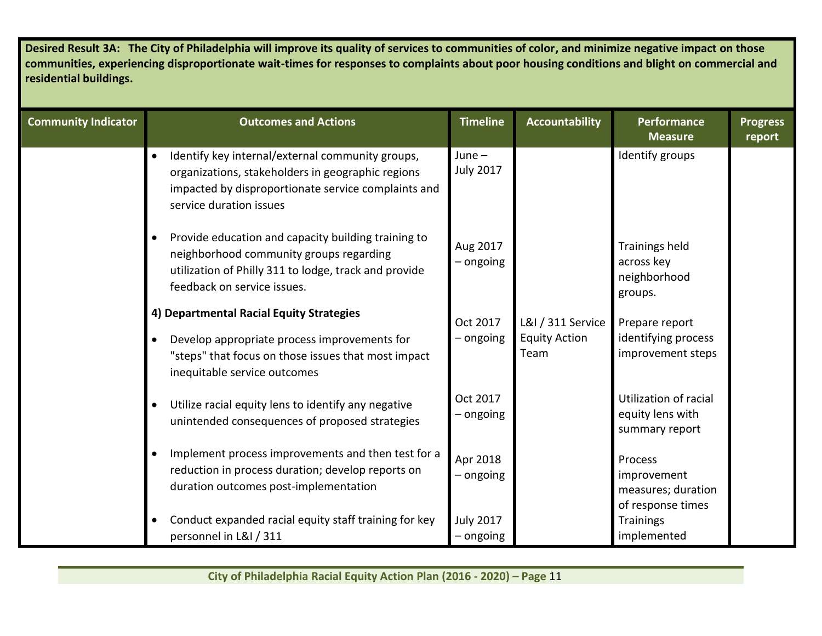| Desired Result 3A: The City of Philadelphia will improve its quality of services to communities of color, and minimize negative impact on those<br>communities, experiencing disproportionate wait-times for responses to complaints about poor housing conditions and blight on commercial and<br>residential buildings. |                                                                                                                                                                                                     |                                 |                                                   |                                                                   |                           |  |  |  |
|---------------------------------------------------------------------------------------------------------------------------------------------------------------------------------------------------------------------------------------------------------------------------------------------------------------------------|-----------------------------------------------------------------------------------------------------------------------------------------------------------------------------------------------------|---------------------------------|---------------------------------------------------|-------------------------------------------------------------------|---------------------------|--|--|--|
| <b>Community Indicator</b>                                                                                                                                                                                                                                                                                                | <b>Outcomes and Actions</b>                                                                                                                                                                         | <b>Timeline</b>                 | <b>Accountability</b>                             | <b>Performance</b><br><b>Measure</b>                              | <b>Progress</b><br>report |  |  |  |
|                                                                                                                                                                                                                                                                                                                           | Identify key internal/external community groups,<br>organizations, stakeholders in geographic regions<br>impacted by disproportionate service complaints and<br>service duration issues             | June $-$<br><b>July 2017</b>    |                                                   | Identify groups                                                   |                           |  |  |  |
|                                                                                                                                                                                                                                                                                                                           | Provide education and capacity building training to<br>$\bullet$<br>neighborhood community groups regarding<br>utilization of Philly 311 to lodge, track and provide<br>feedback on service issues. | Aug 2017<br>- ongoing           |                                                   | Trainings held<br>across key<br>neighborhood<br>groups.           |                           |  |  |  |
|                                                                                                                                                                                                                                                                                                                           | 4) Departmental Racial Equity Strategies<br>Develop appropriate process improvements for<br>$\bullet$<br>"steps" that focus on those issues that most impact<br>inequitable service outcomes        | Oct 2017<br>- ongoing           | L&I / 311 Service<br><b>Equity Action</b><br>Team | Prepare report<br>identifying process<br>improvement steps        |                           |  |  |  |
|                                                                                                                                                                                                                                                                                                                           | Utilize racial equity lens to identify any negative<br>unintended consequences of proposed strategies                                                                                               | Oct 2017<br>- ongoing           |                                                   | Utilization of racial<br>equity lens with<br>summary report       |                           |  |  |  |
|                                                                                                                                                                                                                                                                                                                           | Implement process improvements and then test for a<br>$\bullet$<br>reduction in process duration; develop reports on<br>duration outcomes post-implementation                                       | Apr 2018<br>- ongoing           |                                                   | Process<br>improvement<br>measures; duration<br>of response times |                           |  |  |  |
|                                                                                                                                                                                                                                                                                                                           | Conduct expanded racial equity staff training for key<br>$\bullet$<br>personnel in L&I / 311                                                                                                        | <b>July 2017</b><br>$-$ ongoing |                                                   | <b>Trainings</b><br>implemented                                   |                           |  |  |  |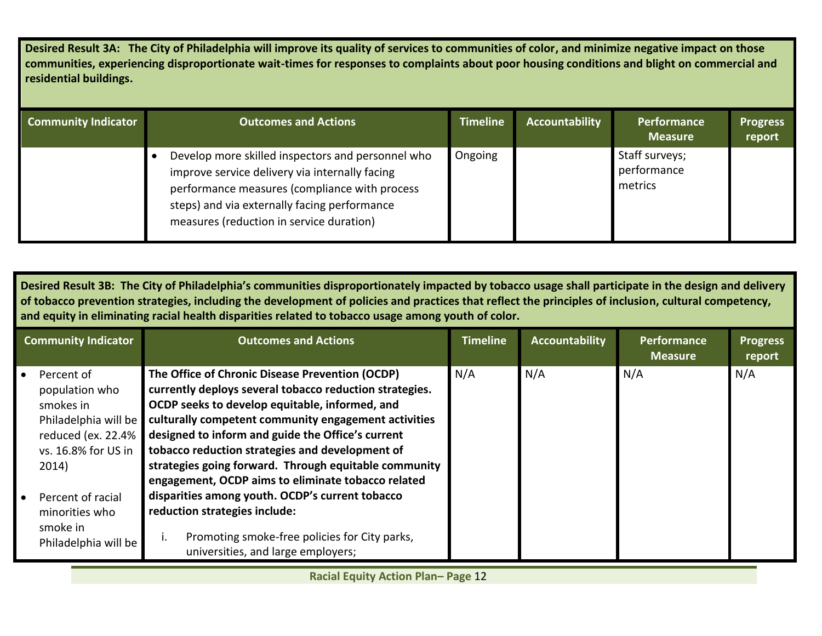**Desired Result 3A: The City of Philadelphia will improve its quality of services to communities of color, and minimize negative impact on those communities, experiencing disproportionate wait-times for responses to complaints about poor housing conditions and blight on commercial and residential buildings.** 

| <b>Community Indicator</b> | <b>Outcomes and Actions</b>                                                                                                                                                                                                                      | <b>Timeline</b> | <b>Accountability</b> | Performance<br><b>Measure</b>            | <b>Progress</b><br>report |
|----------------------------|--------------------------------------------------------------------------------------------------------------------------------------------------------------------------------------------------------------------------------------------------|-----------------|-----------------------|------------------------------------------|---------------------------|
|                            | Develop more skilled inspectors and personnel who<br>improve service delivery via internally facing<br>performance measures (compliance with process<br>steps) and via externally facing performance<br>measures (reduction in service duration) | Ongoing         |                       | Staff surveys;<br>performance<br>metrics |                           |

**Desired Result 3B: The City of Philadelphia's communities disproportionately impacted by tobacco usage shall participate in the design and delivery of tobacco prevention strategies, including the development of policies and practices that reflect the principles of inclusion, cultural competency, and equity in eliminating racial health disparities related to tobacco usage among youth of color.** 

| <b>Community Indicator</b>                                                                                                                                                                                | <b>Outcomes and Actions</b>                                                                                                                                                                                                                                                                                                                                                                                                                                                                                                                                                                                            | <b>Timeline</b> | Accountability | Performance<br><b>Measure</b> | <b>Progress</b><br>report |
|-----------------------------------------------------------------------------------------------------------------------------------------------------------------------------------------------------------|------------------------------------------------------------------------------------------------------------------------------------------------------------------------------------------------------------------------------------------------------------------------------------------------------------------------------------------------------------------------------------------------------------------------------------------------------------------------------------------------------------------------------------------------------------------------------------------------------------------------|-----------------|----------------|-------------------------------|---------------------------|
| Percent of<br>population who<br>smokes in<br>Philadelphia will be<br>reduced (ex. 22.4%<br>vs. 16.8% for US in<br>2014)<br><b>Percent of racial</b><br>minorities who<br>smoke in<br>Philadelphia will be | The Office of Chronic Disease Prevention (OCDP)<br>currently deploys several tobacco reduction strategies.<br>OCDP seeks to develop equitable, informed, and<br>culturally competent community engagement activities<br>designed to inform and guide the Office's current<br>tobacco reduction strategies and development of<br>strategies going forward. Through equitable community<br>engagement, OCDP aims to eliminate tobacco related<br>disparities among youth. OCDP's current tobacco<br>reduction strategies include:<br>Promoting smoke-free policies for City parks,<br>universities, and large employers; | N/A             | N/A            | N/A                           | N/A                       |

**Racial Equity Action Plan– Page** 12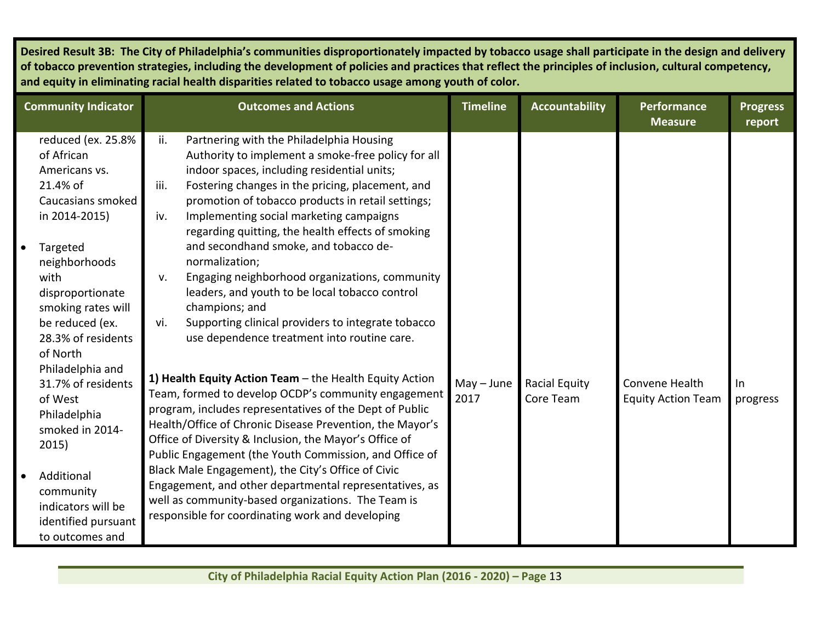| <b>Community Indicator</b>                                                                                                                                                                                                                                                                                                          | <b>Outcomes and Actions</b>                                                                                                                                                                                                                                                                                                                                                                                                                                                                                                                                                                                                                                                                                                                                                                                                                                                            | <b>Timeline</b>      | <b>Accountability</b>             | <b>Performance</b><br><b>Measure</b>        | <b>Progress</b><br>report |
|-------------------------------------------------------------------------------------------------------------------------------------------------------------------------------------------------------------------------------------------------------------------------------------------------------------------------------------|----------------------------------------------------------------------------------------------------------------------------------------------------------------------------------------------------------------------------------------------------------------------------------------------------------------------------------------------------------------------------------------------------------------------------------------------------------------------------------------------------------------------------------------------------------------------------------------------------------------------------------------------------------------------------------------------------------------------------------------------------------------------------------------------------------------------------------------------------------------------------------------|----------------------|-----------------------------------|---------------------------------------------|---------------------------|
| reduced (ex. 25.8%<br>of African<br>Americans vs.<br>21.4% of                                                                                                                                                                                                                                                                       | Partnering with the Philadelphia Housing<br>ii.<br>Authority to implement a smoke-free policy for all<br>indoor spaces, including residential units;<br>Fostering changes in the pricing, placement, and<br>iii.                                                                                                                                                                                                                                                                                                                                                                                                                                                                                                                                                                                                                                                                       |                      |                                   |                                             |                           |
| Caucasians smoked<br>in 2014-2015)                                                                                                                                                                                                                                                                                                  | promotion of tobacco products in retail settings;<br>Implementing social marketing campaigns<br>iv.<br>regarding quitting, the health effects of smoking                                                                                                                                                                                                                                                                                                                                                                                                                                                                                                                                                                                                                                                                                                                               |                      |                                   |                                             |                           |
| Targeted<br>$\bullet$<br>neighborhoods<br>with<br>disproportionate<br>smoking rates will<br>be reduced (ex.<br>28.3% of residents<br>of North<br>Philadelphia and<br>31.7% of residents<br>of West<br>Philadelphia<br>smoked in 2014-<br>2015)<br>Additional<br>$\bullet$<br>community<br>indicators will be<br>identified pursuant | and secondhand smoke, and tobacco de-<br>normalization;<br>Engaging neighborhood organizations, community<br>v.<br>leaders, and youth to be local tobacco control<br>champions; and<br>Supporting clinical providers to integrate tobacco<br>vi.<br>use dependence treatment into routine care.<br>1) Health Equity Action Team - the Health Equity Action<br>Team, formed to develop OCDP's community engagement<br>program, includes representatives of the Dept of Public<br>Health/Office of Chronic Disease Prevention, the Mayor's<br>Office of Diversity & Inclusion, the Mayor's Office of<br>Public Engagement (the Youth Commission, and Office of<br>Black Male Engagement), the City's Office of Civic<br>Engagement, and other departmental representatives, as<br>well as community-based organizations. The Team is<br>responsible for coordinating work and developing | $May - June$<br>2017 | <b>Racial Equity</b><br>Core Team | Convene Health<br><b>Equity Action Team</b> | In<br>progress            |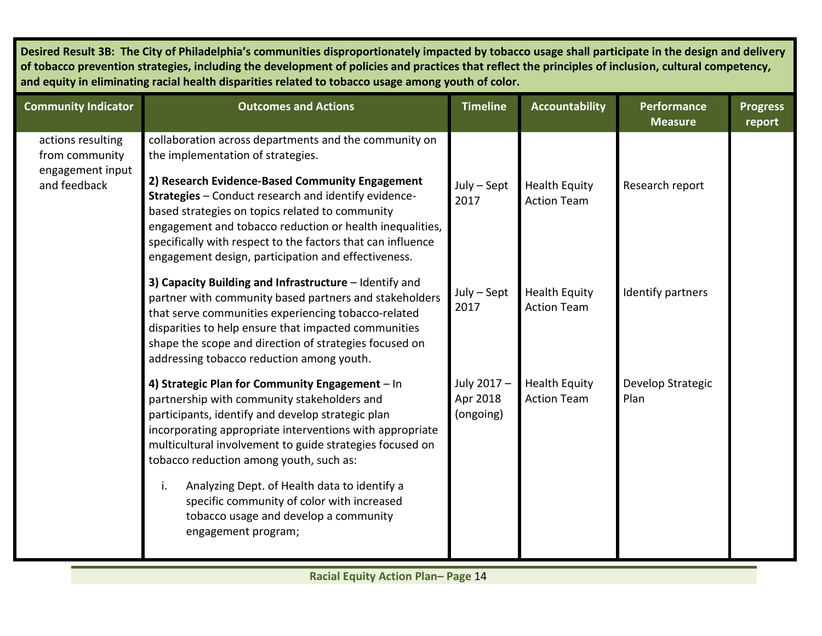| <b>Community Indicator</b>                                              | <b>Outcomes and Actions</b>                                                                                                                                                                                                                                                                                                                                                                                                                | <b>Timeline</b>                     | <b>Accountability</b>                      | <b>Performance</b><br><b>Measure</b> | <b>Progress</b><br>report |
|-------------------------------------------------------------------------|--------------------------------------------------------------------------------------------------------------------------------------------------------------------------------------------------------------------------------------------------------------------------------------------------------------------------------------------------------------------------------------------------------------------------------------------|-------------------------------------|--------------------------------------------|--------------------------------------|---------------------------|
| actions resulting<br>from community<br>engagement input<br>and feedback | collaboration across departments and the community on<br>the implementation of strategies.<br>2) Research Evidence-Based Community Engagement<br>Strategies - Conduct research and identify evidence-<br>based strategies on topics related to community<br>engagement and tobacco reduction or health inequalities,<br>specifically with respect to the factors that can influence<br>engagement design, participation and effectiveness. | $July - Sept$<br>2017               | <b>Health Equity</b><br><b>Action Team</b> | Research report                      |                           |
|                                                                         | 3) Capacity Building and Infrastructure - Identify and<br>partner with community based partners and stakeholders<br>that serve communities experiencing tobacco-related<br>disparities to help ensure that impacted communities<br>shape the scope and direction of strategies focused on<br>addressing tobacco reduction among youth.                                                                                                     | July - Sept<br>2017                 | <b>Health Equity</b><br><b>Action Team</b> | Identify partners                    |                           |
|                                                                         | 4) Strategic Plan for Community Engagement - In<br>partnership with community stakeholders and<br>participants, identify and develop strategic plan<br>incorporating appropriate interventions with appropriate<br>multicultural involvement to guide strategies focused on<br>tobacco reduction among youth, such as:                                                                                                                     | July 2017-<br>Apr 2018<br>(ongoing) | <b>Health Equity</b><br><b>Action Team</b> | Develop Strategic<br>Plan            |                           |
|                                                                         | Analyzing Dept. of Health data to identify a<br>i.<br>specific community of color with increased<br>tobacco usage and develop a community<br>engagement program;                                                                                                                                                                                                                                                                           |                                     |                                            |                                      |                           |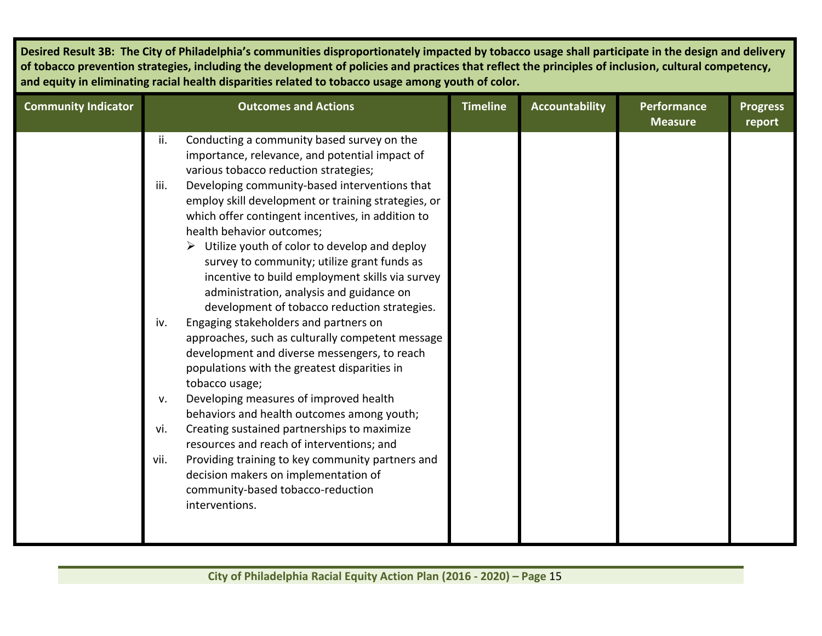| <b>Community Indicator</b> |                                           | <b>Outcomes and Actions</b>                                                                                                                                                                                                                                                                                                                                                                                                                                                                                                                                                                                                                                                                                                                                                                                                                                                                                                                                                                                                                          | <b>Timeline</b> | <b>Accountability</b> | <b>Performance</b><br><b>Measure</b> | <b>Progress</b><br>report |
|----------------------------|-------------------------------------------|------------------------------------------------------------------------------------------------------------------------------------------------------------------------------------------------------------------------------------------------------------------------------------------------------------------------------------------------------------------------------------------------------------------------------------------------------------------------------------------------------------------------------------------------------------------------------------------------------------------------------------------------------------------------------------------------------------------------------------------------------------------------------------------------------------------------------------------------------------------------------------------------------------------------------------------------------------------------------------------------------------------------------------------------------|-----------------|-----------------------|--------------------------------------|---------------------------|
|                            | ii.                                       | Conducting a community based survey on the<br>importance, relevance, and potential impact of                                                                                                                                                                                                                                                                                                                                                                                                                                                                                                                                                                                                                                                                                                                                                                                                                                                                                                                                                         |                 |                       |                                      |                           |
|                            | iii.<br>iv.<br>$V_{\star}$<br>vi.<br>vii. | various tobacco reduction strategies;<br>Developing community-based interventions that<br>employ skill development or training strategies, or<br>which offer contingent incentives, in addition to<br>health behavior outcomes;<br>$\triangleright$ Utilize youth of color to develop and deploy<br>survey to community; utilize grant funds as<br>incentive to build employment skills via survey<br>administration, analysis and guidance on<br>development of tobacco reduction strategies.<br>Engaging stakeholders and partners on<br>approaches, such as culturally competent message<br>development and diverse messengers, to reach<br>populations with the greatest disparities in<br>tobacco usage;<br>Developing measures of improved health<br>behaviors and health outcomes among youth;<br>Creating sustained partnerships to maximize<br>resources and reach of interventions; and<br>Providing training to key community partners and<br>decision makers on implementation of<br>community-based tobacco-reduction<br>interventions. |                 |                       |                                      |                           |
|                            |                                           |                                                                                                                                                                                                                                                                                                                                                                                                                                                                                                                                                                                                                                                                                                                                                                                                                                                                                                                                                                                                                                                      |                 |                       |                                      |                           |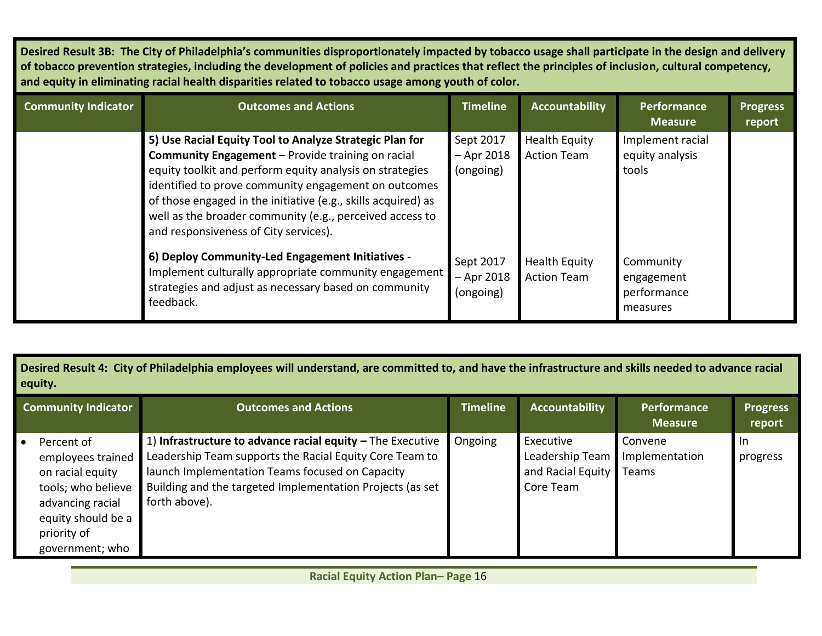| <b>Community Indicator</b> | <b>Outcomes and Actions</b>                                                                                                                                                                                                                                                                                                                                                                            | <b>Timeline</b>                        | <b>Accountability</b>                      | <b>Performance</b><br><b>Measure</b>               | <b>Progress</b><br>report |
|----------------------------|--------------------------------------------------------------------------------------------------------------------------------------------------------------------------------------------------------------------------------------------------------------------------------------------------------------------------------------------------------------------------------------------------------|----------------------------------------|--------------------------------------------|----------------------------------------------------|---------------------------|
|                            | 5) Use Racial Equity Tool to Analyze Strategic Plan for<br>Community Engagement - Provide training on racial<br>equity toolkit and perform equity analysis on strategies<br>identified to prove community engagement on outcomes<br>of those engaged in the initiative (e.g., skills acquired) as<br>well as the broader community (e.g., perceived access to<br>and responsiveness of City services). | Sept 2017<br>$-$ Apr 2018<br>(ongoing) | <b>Health Equity</b><br><b>Action Team</b> | Implement racial<br>equity analysis<br>tools       |                           |
|                            | 6) Deploy Community-Led Engagement Initiatives -<br>Implement culturally appropriate community engagement<br>strategies and adjust as necessary based on community<br>feedback.                                                                                                                                                                                                                        | Sept 2017<br>$-$ Apr 2018<br>(ongoing) | Health Equity<br><b>Action Team</b>        | Community<br>engagement<br>performance<br>measures |                           |

| <b>Community Indicator</b>                                                                                                                            | <b>Outcomes and Actions</b>                                                                                                                                                                                                                              | <b>Timeline</b> | <b>Accountability</b>                                          | <b>Performance</b><br><b>Measure</b> | <b>Progress</b><br>report |
|-------------------------------------------------------------------------------------------------------------------------------------------------------|----------------------------------------------------------------------------------------------------------------------------------------------------------------------------------------------------------------------------------------------------------|-----------------|----------------------------------------------------------------|--------------------------------------|---------------------------|
| Percent of<br>employees trained<br>on racial equity<br>tools; who believe<br>advancing racial<br>equity should be a<br>priority of<br>government; who | 1) Infrastructure to advance racial equity $-$ The Executive<br>Leadership Team supports the Racial Equity Core Team to<br>launch Implementation Teams focused on Capacity<br>Building and the targeted Implementation Projects (as set<br>forth above). | Ongoing         | Executive<br>Leadership Team<br>and Racial Equity<br>Core Team | Convene<br>Implementation<br>Teams   | -In<br>progress           |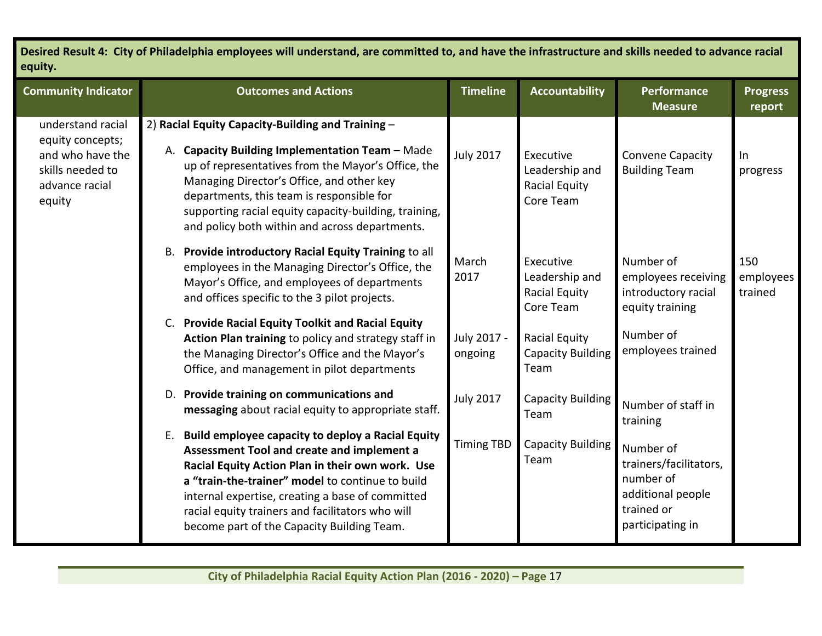| <b>Community Indicator</b>                                                                                | <b>Outcomes and Actions</b>                                                                                                                                                                                                                                                                                                                                         | <b>Timeline</b>        | <b>Accountability</b>                                     | Performance<br><b>Measure</b>                                                                           | <b>Progress</b><br>report   |
|-----------------------------------------------------------------------------------------------------------|---------------------------------------------------------------------------------------------------------------------------------------------------------------------------------------------------------------------------------------------------------------------------------------------------------------------------------------------------------------------|------------------------|-----------------------------------------------------------|---------------------------------------------------------------------------------------------------------|-----------------------------|
| understand racial<br>equity concepts;<br>and who have the<br>skills needed to<br>advance racial<br>equity | 2) Racial Equity Capacity-Building and Training -<br>A. Capacity Building Implementation Team - Made<br>up of representatives from the Mayor's Office, the<br>Managing Director's Office, and other key<br>departments, this team is responsible for<br>supporting racial equity capacity-building, training,<br>and policy both within and across departments.     | <b>July 2017</b>       | Executive<br>Leadership and<br>Racial Equity<br>Core Team | <b>Convene Capacity</b><br><b>Building Team</b>                                                         | $\ln$<br>progress           |
|                                                                                                           | B. Provide introductory Racial Equity Training to all<br>employees in the Managing Director's Office, the<br>Mayor's Office, and employees of departments<br>and offices specific to the 3 pilot projects.                                                                                                                                                          | March<br>2017          | Executive<br>Leadership and<br>Racial Equity<br>Core Team | Number of<br>employees receiving<br>introductory racial<br>equity training                              | 150<br>employees<br>trained |
|                                                                                                           | <b>Provide Racial Equity Toolkit and Racial Equity</b><br>C.<br>Action Plan training to policy and strategy staff in<br>the Managing Director's Office and the Mayor's<br>Office, and management in pilot departments                                                                                                                                               | July 2017 -<br>ongoing | Racial Equity<br><b>Capacity Building</b><br>Team         | Number of<br>employees trained                                                                          |                             |
|                                                                                                           | D. Provide training on communications and<br>messaging about racial equity to appropriate staff.                                                                                                                                                                                                                                                                    | <b>July 2017</b>       | <b>Capacity Building</b><br>Team                          | Number of staff in<br>training                                                                          |                             |
|                                                                                                           | Build employee capacity to deploy a Racial Equity<br>Ε.<br>Assessment Tool and create and implement a<br>Racial Equity Action Plan in their own work. Use<br>a "train-the-trainer" model to continue to build<br>internal expertise, creating a base of committed<br>racial equity trainers and facilitators who will<br>become part of the Capacity Building Team. | <b>Timing TBD</b>      | <b>Capacity Building</b><br>Team                          | Number of<br>trainers/facilitators,<br>number of<br>additional people<br>trained or<br>participating in |                             |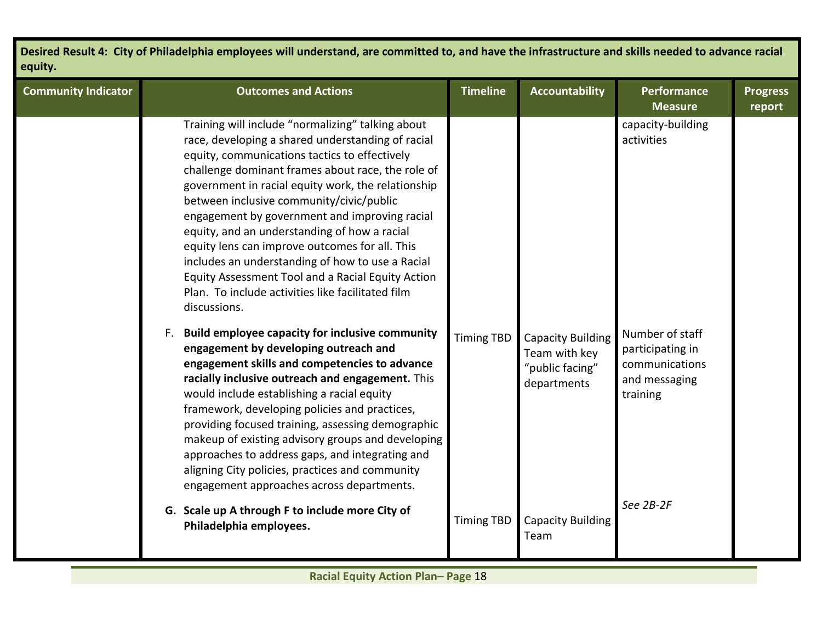| <b>Community Indicator</b> | <b>Outcomes and Actions</b>                                                                                                                                                                                                                                                                                                                                                                                                                                                                                                                                                                                                                     | <b>Timeline</b>   | <b>Accountability</b>                                                       | Performance<br><b>Measure</b>                                                      | <b>Progress</b><br>report |
|----------------------------|-------------------------------------------------------------------------------------------------------------------------------------------------------------------------------------------------------------------------------------------------------------------------------------------------------------------------------------------------------------------------------------------------------------------------------------------------------------------------------------------------------------------------------------------------------------------------------------------------------------------------------------------------|-------------------|-----------------------------------------------------------------------------|------------------------------------------------------------------------------------|---------------------------|
|                            | Training will include "normalizing" talking about<br>race, developing a shared understanding of racial<br>equity, communications tactics to effectively<br>challenge dominant frames about race, the role of<br>government in racial equity work, the relationship<br>between inclusive community/civic/public<br>engagement by government and improving racial<br>equity, and an understanding of how a racial<br>equity lens can improve outcomes for all. This<br>includes an understanding of how to use a Racial<br>Equity Assessment Tool and a Racial Equity Action<br>Plan. To include activities like facilitated film<br>discussions. |                   |                                                                             | capacity-building<br>activities                                                    |                           |
|                            | F. Build employee capacity for inclusive community<br>engagement by developing outreach and<br>engagement skills and competencies to advance<br>racially inclusive outreach and engagement. This<br>would include establishing a racial equity<br>framework, developing policies and practices,<br>providing focused training, assessing demographic<br>makeup of existing advisory groups and developing<br>approaches to address gaps, and integrating and<br>aligning City policies, practices and community<br>engagement approaches across departments.                                                                                    | <b>Timing TBD</b> | <b>Capacity Building</b><br>Team with key<br>"public facing"<br>departments | Number of staff<br>participating in<br>communications<br>and messaging<br>training |                           |
|                            | G. Scale up A through F to include more City of<br>Philadelphia employees.                                                                                                                                                                                                                                                                                                                                                                                                                                                                                                                                                                      | <b>Timing TBD</b> | <b>Capacity Building</b><br>Team                                            | See 2B-2F                                                                          |                           |